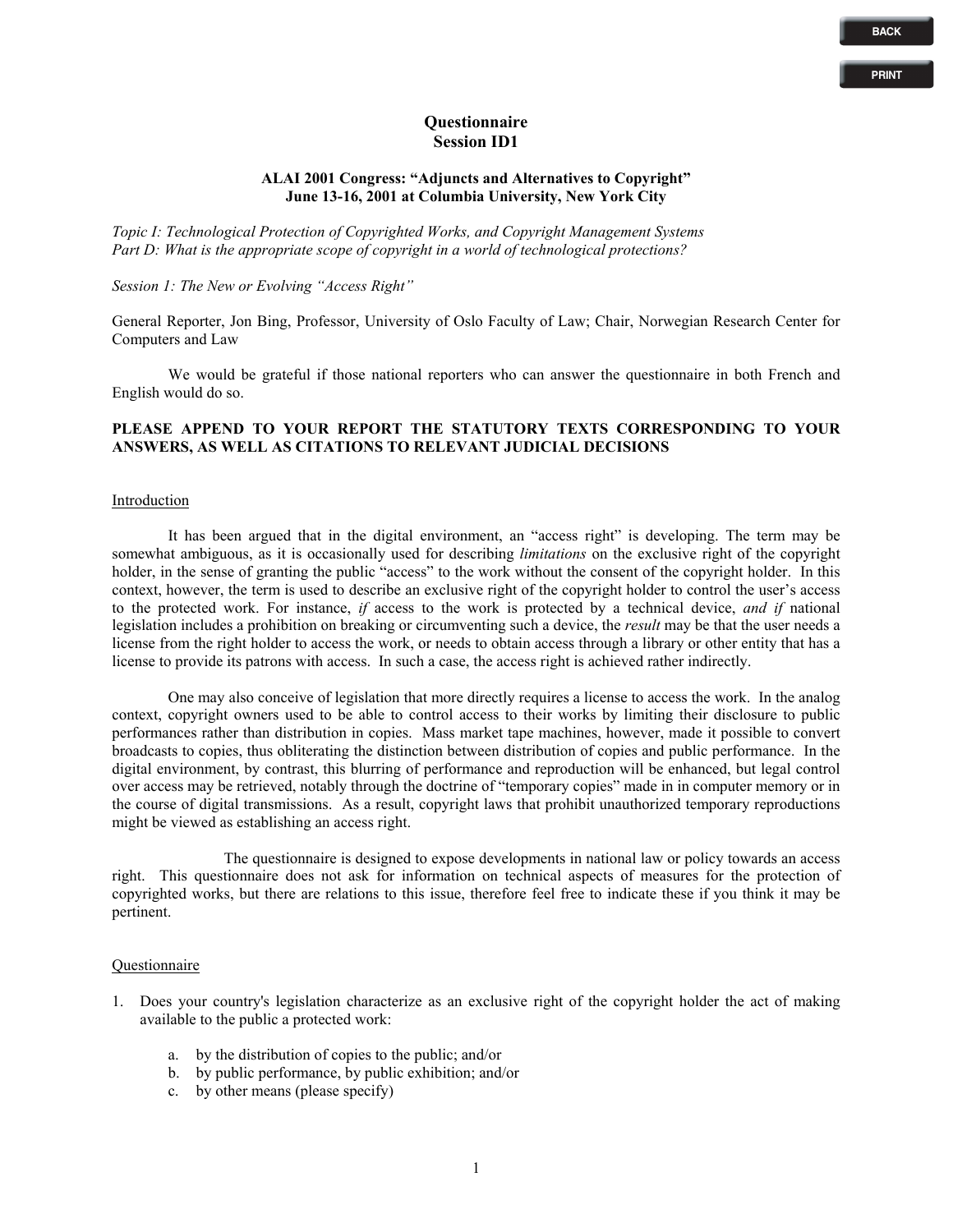### **Questionnaire Session ID1**

## **ALAI 2001 Congress: "Adjuncts and Alternatives to Copyright" June 13-16, 2001 at Columbia University, New York City**

*Topic I: Technological Protection of Copyrighted Works, and Copyright Management Systems Part D: What is the appropriate scope of copyright in a world of technological protections?*

# *Session 1: The New or Evolving "Access Right"*

General Reporter, Jon Bing, Professor, University of Oslo Faculty of Law; Chair, Norwegian Research Center for Computers and Law

We would be grateful if those national reporters who can answer the questionnaire in both French and English would do so.

## **PLEASE APPEND TO YOUR REPORT THE STATUTORY TEXTS CORRESPONDING TO YOUR ANSWERS, AS WELL AS CITATIONS TO RELEVANT JUDICIAL DECISIONS**

#### Introduction

It has been argued that in the digital environment, an "access right" is developing. The term may be somewhat ambiguous, as it is occasionally used for describing *limitations* on the exclusive right of the copyright holder, in the sense of granting the public "access" to the work without the consent of the copyright holder. In this context, however, the term is used to describe an exclusive right of the copyright holder to control the user's access to the protected work. For instance, *if* access to the work is protected by a technical device, *and if* national legislation includes a prohibition on breaking or circumventing such a device, the *result* may be that the user needs a license from the right holder to access the work, or needs to obtain access through a library or other entity that has a license to provide its patrons with access. In such a case, the access right is achieved rather indirectly.

One may also conceive of legislation that more directly requires a license to access the work. In the analog context, copyright owners used to be able to control access to their works by limiting their disclosure to public performances rather than distribution in copies. Mass market tape machines, however, made it possible to convert broadcasts to copies, thus obliterating the distinction between distribution of copies and public performance. In the digital environment, by contrast, this blurring of performance and reproduction will be enhanced, but legal control over access may be retrieved, notably through the doctrine of "temporary copies" made in in computer memory or in the course of digital transmissions. As a result, copyright laws that prohibit unauthorized temporary reproductions might be viewed as establishing an access right.

The questionnaire is designed to expose developments in national law or policy towards an access right. This questionnaire does not ask for information on technical aspects of measures for the protection of copyrighted works, but there are relations to this issue, therefore feel free to indicate these if you think it may be pertinent.

### Questionnaire

- 1. Does your country's legislation characterize as an exclusive right of the copyright holder the act of making available to the public a protected work:
	- a. by the distribution of copies to the public; and/or
	- b. by public performance, by public exhibition; and/or
	- c. by other means (please specify)